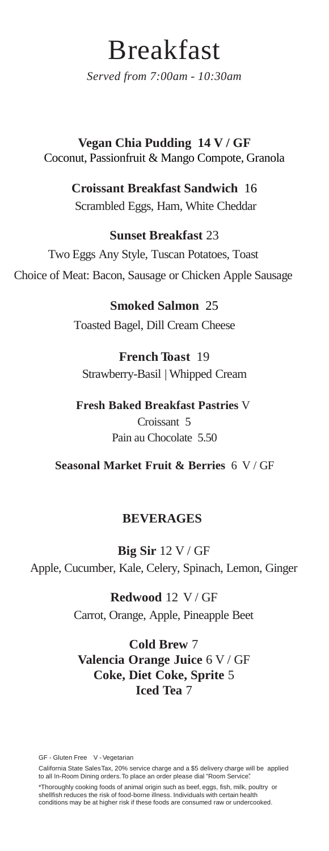# Breakfast

*Served from 7:00am - 10:30am*

**Vegan Chia Pudding 14 V / GF** Coconut, Passionfruit & Mango Compote, Granola

> **Croissant Breakfast Sandwich** 16 Scrambled Eggs, Ham, White Cheddar

#### **Sunset Breakfast** 23

Two Eggs Any Style, Tuscan Potatoes, Toast Choice of Meat: Bacon, Sausage or Chicken Apple Sausage

> **Smoked Salmon** 25 Toasted Bagel, Dill Cream Cheese

**French Toast** 19 Strawberry-Basil | Whipped Cream

**Fresh Baked Breakfast Pastries** V Croissant 5 Pain au Chocolate 5.50

**Seasonal Market Fruit & Berries** 6 V / GF

#### **BEVERAGES**

**Big Sir** 12 V / GF Apple, Cucumber, Kale, Celery, Spinach, Lemon, Ginger

> **Redwood** 12 V / GF Carrot, Orange, Apple, Pineapple Beet

**Cold Brew** 7 **Valencia Orange Juice** 6 V / GF **Coke, Diet Coke, Sprite** 5 **Iced Tea** 7

GF - Gluten Free V - Vegetarian

California State SalesTax, 20% service charge and a \$5 delivery charge will be applied to all In-Room Dining orders.To place an order please dial "Room Service".

\*Thoroughly cooking foods of animal origin such as beef, eggs, fish, milk, poultry or shellfish reduces the risk of food-borne illness. Individuals with certain health conditions may be at higher risk if these foods are consumed raw or undercooked.